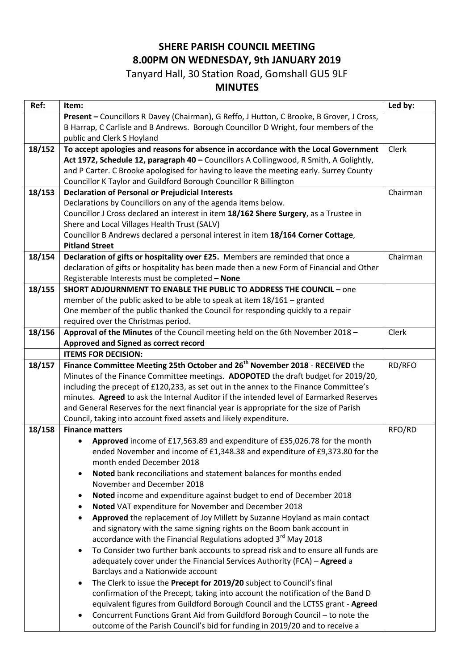## **SHERE PARISH COUNCIL MEETING 8.00PM ON WEDNESDAY, 9th JANUARY 2019**

## Tanyard Hall, 30 Station Road, Gomshall GU5 9LF

## **MINUTES**

| Present - Councillors R Davey (Chairman), G Reffo, J Hutton, C Brooke, B Grover, J Cross,<br>B Harrap, C Carlisle and B Andrews. Borough Councillor D Wright, four members of the<br>public and Clerk S Hoyland<br>18/152<br>To accept apologies and reasons for absence in accordance with the Local Government<br>Clerk<br>Act 1972, Schedule 12, paragraph 40 - Councillors A Collingwood, R Smith, A Golightly,<br>and P Carter. C Brooke apologised for having to leave the meeting early. Surrey County<br>Councillor K Taylor and Guildford Borough Councillor R Billington<br>18/153<br><b>Declaration of Personal or Prejudicial Interests</b><br>Chairman<br>Declarations by Councillors on any of the agenda items below.<br>Councillor J Cross declared an interest in item 18/162 Shere Surgery, as a Trustee in<br>Shere and Local Villages Health Trust (SALV)<br>Councillor B Andrews declared a personal interest in item 18/164 Corner Cottage,<br><b>Pitland Street</b><br>Declaration of gifts or hospitality over £25. Members are reminded that once a<br>18/154<br>Chairman<br>declaration of gifts or hospitality has been made then a new Form of Financial and Other<br>Registerable Interests must be completed - None<br>18/155<br><b>SHORT ADJOURNMENT TO ENABLE THE PUBLIC TO ADDRESS THE COUNCIL - one</b><br>member of the public asked to be able to speak at item 18/161 - granted<br>One member of the public thanked the Council for responding quickly to a repair<br>required over the Christmas period.<br>18/156<br>Approval of the Minutes of the Council meeting held on the 6th November 2018 -<br>Clerk<br>Approved and Signed as correct record<br><b>ITEMS FOR DECISION:</b> |
|----------------------------------------------------------------------------------------------------------------------------------------------------------------------------------------------------------------------------------------------------------------------------------------------------------------------------------------------------------------------------------------------------------------------------------------------------------------------------------------------------------------------------------------------------------------------------------------------------------------------------------------------------------------------------------------------------------------------------------------------------------------------------------------------------------------------------------------------------------------------------------------------------------------------------------------------------------------------------------------------------------------------------------------------------------------------------------------------------------------------------------------------------------------------------------------------------------------------------------------------------------------------------------------------------------------------------------------------------------------------------------------------------------------------------------------------------------------------------------------------------------------------------------------------------------------------------------------------------------------------------------------------------------------------------------------------------------------------------|
|                                                                                                                                                                                                                                                                                                                                                                                                                                                                                                                                                                                                                                                                                                                                                                                                                                                                                                                                                                                                                                                                                                                                                                                                                                                                                                                                                                                                                                                                                                                                                                                                                                                                                                                            |
|                                                                                                                                                                                                                                                                                                                                                                                                                                                                                                                                                                                                                                                                                                                                                                                                                                                                                                                                                                                                                                                                                                                                                                                                                                                                                                                                                                                                                                                                                                                                                                                                                                                                                                                            |
|                                                                                                                                                                                                                                                                                                                                                                                                                                                                                                                                                                                                                                                                                                                                                                                                                                                                                                                                                                                                                                                                                                                                                                                                                                                                                                                                                                                                                                                                                                                                                                                                                                                                                                                            |
|                                                                                                                                                                                                                                                                                                                                                                                                                                                                                                                                                                                                                                                                                                                                                                                                                                                                                                                                                                                                                                                                                                                                                                                                                                                                                                                                                                                                                                                                                                                                                                                                                                                                                                                            |
|                                                                                                                                                                                                                                                                                                                                                                                                                                                                                                                                                                                                                                                                                                                                                                                                                                                                                                                                                                                                                                                                                                                                                                                                                                                                                                                                                                                                                                                                                                                                                                                                                                                                                                                            |
|                                                                                                                                                                                                                                                                                                                                                                                                                                                                                                                                                                                                                                                                                                                                                                                                                                                                                                                                                                                                                                                                                                                                                                                                                                                                                                                                                                                                                                                                                                                                                                                                                                                                                                                            |
|                                                                                                                                                                                                                                                                                                                                                                                                                                                                                                                                                                                                                                                                                                                                                                                                                                                                                                                                                                                                                                                                                                                                                                                                                                                                                                                                                                                                                                                                                                                                                                                                                                                                                                                            |
|                                                                                                                                                                                                                                                                                                                                                                                                                                                                                                                                                                                                                                                                                                                                                                                                                                                                                                                                                                                                                                                                                                                                                                                                                                                                                                                                                                                                                                                                                                                                                                                                                                                                                                                            |
|                                                                                                                                                                                                                                                                                                                                                                                                                                                                                                                                                                                                                                                                                                                                                                                                                                                                                                                                                                                                                                                                                                                                                                                                                                                                                                                                                                                                                                                                                                                                                                                                                                                                                                                            |
|                                                                                                                                                                                                                                                                                                                                                                                                                                                                                                                                                                                                                                                                                                                                                                                                                                                                                                                                                                                                                                                                                                                                                                                                                                                                                                                                                                                                                                                                                                                                                                                                                                                                                                                            |
|                                                                                                                                                                                                                                                                                                                                                                                                                                                                                                                                                                                                                                                                                                                                                                                                                                                                                                                                                                                                                                                                                                                                                                                                                                                                                                                                                                                                                                                                                                                                                                                                                                                                                                                            |
|                                                                                                                                                                                                                                                                                                                                                                                                                                                                                                                                                                                                                                                                                                                                                                                                                                                                                                                                                                                                                                                                                                                                                                                                                                                                                                                                                                                                                                                                                                                                                                                                                                                                                                                            |
|                                                                                                                                                                                                                                                                                                                                                                                                                                                                                                                                                                                                                                                                                                                                                                                                                                                                                                                                                                                                                                                                                                                                                                                                                                                                                                                                                                                                                                                                                                                                                                                                                                                                                                                            |
|                                                                                                                                                                                                                                                                                                                                                                                                                                                                                                                                                                                                                                                                                                                                                                                                                                                                                                                                                                                                                                                                                                                                                                                                                                                                                                                                                                                                                                                                                                                                                                                                                                                                                                                            |
|                                                                                                                                                                                                                                                                                                                                                                                                                                                                                                                                                                                                                                                                                                                                                                                                                                                                                                                                                                                                                                                                                                                                                                                                                                                                                                                                                                                                                                                                                                                                                                                                                                                                                                                            |
|                                                                                                                                                                                                                                                                                                                                                                                                                                                                                                                                                                                                                                                                                                                                                                                                                                                                                                                                                                                                                                                                                                                                                                                                                                                                                                                                                                                                                                                                                                                                                                                                                                                                                                                            |
|                                                                                                                                                                                                                                                                                                                                                                                                                                                                                                                                                                                                                                                                                                                                                                                                                                                                                                                                                                                                                                                                                                                                                                                                                                                                                                                                                                                                                                                                                                                                                                                                                                                                                                                            |
|                                                                                                                                                                                                                                                                                                                                                                                                                                                                                                                                                                                                                                                                                                                                                                                                                                                                                                                                                                                                                                                                                                                                                                                                                                                                                                                                                                                                                                                                                                                                                                                                                                                                                                                            |
|                                                                                                                                                                                                                                                                                                                                                                                                                                                                                                                                                                                                                                                                                                                                                                                                                                                                                                                                                                                                                                                                                                                                                                                                                                                                                                                                                                                                                                                                                                                                                                                                                                                                                                                            |
|                                                                                                                                                                                                                                                                                                                                                                                                                                                                                                                                                                                                                                                                                                                                                                                                                                                                                                                                                                                                                                                                                                                                                                                                                                                                                                                                                                                                                                                                                                                                                                                                                                                                                                                            |
|                                                                                                                                                                                                                                                                                                                                                                                                                                                                                                                                                                                                                                                                                                                                                                                                                                                                                                                                                                                                                                                                                                                                                                                                                                                                                                                                                                                                                                                                                                                                                                                                                                                                                                                            |
|                                                                                                                                                                                                                                                                                                                                                                                                                                                                                                                                                                                                                                                                                                                                                                                                                                                                                                                                                                                                                                                                                                                                                                                                                                                                                                                                                                                                                                                                                                                                                                                                                                                                                                                            |
|                                                                                                                                                                                                                                                                                                                                                                                                                                                                                                                                                                                                                                                                                                                                                                                                                                                                                                                                                                                                                                                                                                                                                                                                                                                                                                                                                                                                                                                                                                                                                                                                                                                                                                                            |
| Finance Committee Meeting 25th October and 26 <sup>th</sup> November 2018 - RECEIVED the<br>18/157<br>RD/RFO                                                                                                                                                                                                                                                                                                                                                                                                                                                                                                                                                                                                                                                                                                                                                                                                                                                                                                                                                                                                                                                                                                                                                                                                                                                                                                                                                                                                                                                                                                                                                                                                               |
| Minutes of the Finance Committee meetings. ADOPOTED the draft budget for 2019/20,                                                                                                                                                                                                                                                                                                                                                                                                                                                                                                                                                                                                                                                                                                                                                                                                                                                                                                                                                                                                                                                                                                                                                                                                                                                                                                                                                                                                                                                                                                                                                                                                                                          |
| including the precept of £120,233, as set out in the annex to the Finance Committee's                                                                                                                                                                                                                                                                                                                                                                                                                                                                                                                                                                                                                                                                                                                                                                                                                                                                                                                                                                                                                                                                                                                                                                                                                                                                                                                                                                                                                                                                                                                                                                                                                                      |
| minutes. Agreed to ask the Internal Auditor if the intended level of Earmarked Reserves                                                                                                                                                                                                                                                                                                                                                                                                                                                                                                                                                                                                                                                                                                                                                                                                                                                                                                                                                                                                                                                                                                                                                                                                                                                                                                                                                                                                                                                                                                                                                                                                                                    |
| and General Reserves for the next financial year is appropriate for the size of Parish                                                                                                                                                                                                                                                                                                                                                                                                                                                                                                                                                                                                                                                                                                                                                                                                                                                                                                                                                                                                                                                                                                                                                                                                                                                                                                                                                                                                                                                                                                                                                                                                                                     |
| Council, taking into account fixed assets and likely expenditure.                                                                                                                                                                                                                                                                                                                                                                                                                                                                                                                                                                                                                                                                                                                                                                                                                                                                                                                                                                                                                                                                                                                                                                                                                                                                                                                                                                                                                                                                                                                                                                                                                                                          |
| 18/158<br>RFO/RD<br><b>Finance matters</b>                                                                                                                                                                                                                                                                                                                                                                                                                                                                                                                                                                                                                                                                                                                                                                                                                                                                                                                                                                                                                                                                                                                                                                                                                                                                                                                                                                                                                                                                                                                                                                                                                                                                                 |
| Approved income of £17,563.89 and expenditure of £35,026.78 for the month                                                                                                                                                                                                                                                                                                                                                                                                                                                                                                                                                                                                                                                                                                                                                                                                                                                                                                                                                                                                                                                                                                                                                                                                                                                                                                                                                                                                                                                                                                                                                                                                                                                  |
| ended November and income of £1,348.38 and expenditure of £9,373.80 for the<br>month ended December 2018                                                                                                                                                                                                                                                                                                                                                                                                                                                                                                                                                                                                                                                                                                                                                                                                                                                                                                                                                                                                                                                                                                                                                                                                                                                                                                                                                                                                                                                                                                                                                                                                                   |
| Noted bank reconciliations and statement balances for months ended                                                                                                                                                                                                                                                                                                                                                                                                                                                                                                                                                                                                                                                                                                                                                                                                                                                                                                                                                                                                                                                                                                                                                                                                                                                                                                                                                                                                                                                                                                                                                                                                                                                         |
| $\bullet$<br>November and December 2018                                                                                                                                                                                                                                                                                                                                                                                                                                                                                                                                                                                                                                                                                                                                                                                                                                                                                                                                                                                                                                                                                                                                                                                                                                                                                                                                                                                                                                                                                                                                                                                                                                                                                    |
|                                                                                                                                                                                                                                                                                                                                                                                                                                                                                                                                                                                                                                                                                                                                                                                                                                                                                                                                                                                                                                                                                                                                                                                                                                                                                                                                                                                                                                                                                                                                                                                                                                                                                                                            |
| Noted income and expenditure against budget to end of December 2018<br>$\bullet$                                                                                                                                                                                                                                                                                                                                                                                                                                                                                                                                                                                                                                                                                                                                                                                                                                                                                                                                                                                                                                                                                                                                                                                                                                                                                                                                                                                                                                                                                                                                                                                                                                           |
| Noted VAT expenditure for November and December 2018<br>٠                                                                                                                                                                                                                                                                                                                                                                                                                                                                                                                                                                                                                                                                                                                                                                                                                                                                                                                                                                                                                                                                                                                                                                                                                                                                                                                                                                                                                                                                                                                                                                                                                                                                  |
| Approved the replacement of Joy Millett by Suzanne Hoyland as main contact<br>$\bullet$                                                                                                                                                                                                                                                                                                                                                                                                                                                                                                                                                                                                                                                                                                                                                                                                                                                                                                                                                                                                                                                                                                                                                                                                                                                                                                                                                                                                                                                                                                                                                                                                                                    |
| and signatory with the same signing rights on the Boom bank account in                                                                                                                                                                                                                                                                                                                                                                                                                                                                                                                                                                                                                                                                                                                                                                                                                                                                                                                                                                                                                                                                                                                                                                                                                                                                                                                                                                                                                                                                                                                                                                                                                                                     |
| accordance with the Financial Regulations adopted 3 <sup>rd</sup> May 2018                                                                                                                                                                                                                                                                                                                                                                                                                                                                                                                                                                                                                                                                                                                                                                                                                                                                                                                                                                                                                                                                                                                                                                                                                                                                                                                                                                                                                                                                                                                                                                                                                                                 |
| To Consider two further bank accounts to spread risk and to ensure all funds are<br>$\bullet$                                                                                                                                                                                                                                                                                                                                                                                                                                                                                                                                                                                                                                                                                                                                                                                                                                                                                                                                                                                                                                                                                                                                                                                                                                                                                                                                                                                                                                                                                                                                                                                                                              |
| adequately cover under the Financial Services Authority (FCA) - Agreed a                                                                                                                                                                                                                                                                                                                                                                                                                                                                                                                                                                                                                                                                                                                                                                                                                                                                                                                                                                                                                                                                                                                                                                                                                                                                                                                                                                                                                                                                                                                                                                                                                                                   |
| Barclays and a Nationwide account                                                                                                                                                                                                                                                                                                                                                                                                                                                                                                                                                                                                                                                                                                                                                                                                                                                                                                                                                                                                                                                                                                                                                                                                                                                                                                                                                                                                                                                                                                                                                                                                                                                                                          |
| The Clerk to issue the Precept for 2019/20 subject to Council's final<br>$\bullet$                                                                                                                                                                                                                                                                                                                                                                                                                                                                                                                                                                                                                                                                                                                                                                                                                                                                                                                                                                                                                                                                                                                                                                                                                                                                                                                                                                                                                                                                                                                                                                                                                                         |
| confirmation of the Precept, taking into account the notification of the Band D                                                                                                                                                                                                                                                                                                                                                                                                                                                                                                                                                                                                                                                                                                                                                                                                                                                                                                                                                                                                                                                                                                                                                                                                                                                                                                                                                                                                                                                                                                                                                                                                                                            |
| equivalent figures from Guildford Borough Council and the LCTSS grant - Agreed<br>Concurrent Functions Grant Aid from Guildford Borough Council - to note the<br>$\bullet$                                                                                                                                                                                                                                                                                                                                                                                                                                                                                                                                                                                                                                                                                                                                                                                                                                                                                                                                                                                                                                                                                                                                                                                                                                                                                                                                                                                                                                                                                                                                                 |
| outcome of the Parish Council's bid for funding in 2019/20 and to receive a                                                                                                                                                                                                                                                                                                                                                                                                                                                                                                                                                                                                                                                                                                                                                                                                                                                                                                                                                                                                                                                                                                                                                                                                                                                                                                                                                                                                                                                                                                                                                                                                                                                |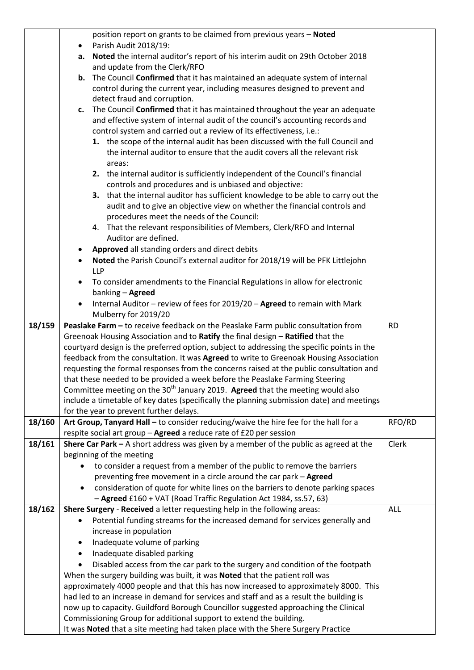|        |                                         | position report on grants to be claimed from previous years - Noted                                                                                  |           |
|--------|-----------------------------------------|------------------------------------------------------------------------------------------------------------------------------------------------------|-----------|
|        | $\bullet$                               | Parish Audit 2018/19:                                                                                                                                |           |
|        | а.                                      | Noted the internal auditor's report of his interim audit on 29th October 2018                                                                        |           |
|        |                                         | and update from the Clerk/RFO                                                                                                                        |           |
|        | b.                                      | The Council Confirmed that it has maintained an adequate system of internal                                                                          |           |
|        |                                         | control during the current year, including measures designed to prevent and                                                                          |           |
|        |                                         | detect fraud and corruption.<br>The Council Confirmed that it has maintained throughout the year an adequate                                         |           |
|        | c.                                      | and effective system of internal audit of the council's accounting records and                                                                       |           |
|        |                                         | control system and carried out a review of its effectiveness, i.e.:                                                                                  |           |
|        |                                         | 1. the scope of the internal audit has been discussed with the full Council and                                                                      |           |
|        |                                         | the internal auditor to ensure that the audit covers all the relevant risk                                                                           |           |
|        |                                         | areas:                                                                                                                                               |           |
|        |                                         | 2. the internal auditor is sufficiently independent of the Council's financial                                                                       |           |
|        |                                         | controls and procedures and is unbiased and objective:                                                                                               |           |
|        |                                         | 3. that the internal auditor has sufficient knowledge to be able to carry out the                                                                    |           |
|        |                                         | audit and to give an objective view on whether the financial controls and                                                                            |           |
|        |                                         | procedures meet the needs of the Council:                                                                                                            |           |
|        |                                         | 4. That the relevant responsibilities of Members, Clerk/RFO and Internal                                                                             |           |
|        |                                         | Auditor are defined.                                                                                                                                 |           |
|        |                                         | Approved all standing orders and direct debits                                                                                                       |           |
|        |                                         | Noted the Parish Council's external auditor for 2018/19 will be PFK Littlejohn                                                                       |           |
|        |                                         | <b>LLP</b>                                                                                                                                           |           |
|        | $\bullet$                               | To consider amendments to the Financial Regulations in allow for electronic                                                                          |           |
|        |                                         | banking - Agreed                                                                                                                                     |           |
|        |                                         | Internal Auditor - review of fees for 2019/20 - Agreed to remain with Mark                                                                           |           |
| 18/159 |                                         | Mulberry for 2019/20<br>Peaslake Farm - to receive feedback on the Peaslake Farm public consultation from                                            | <b>RD</b> |
|        |                                         | Greenoak Housing Association and to Ratify the final design - Ratified that the                                                                      |           |
|        |                                         | courtyard design is the preferred option, subject to addressing the specific points in the                                                           |           |
|        |                                         | feedback from the consultation. It was Agreed to write to Greenoak Housing Association                                                               |           |
|        |                                         | requesting the formal responses from the concerns raised at the public consultation and                                                              |           |
|        |                                         | that these needed to be provided a week before the Peaslake Farming Steering                                                                         |           |
|        |                                         | Committee meeting on the 30 <sup>th</sup> January 2019. Agreed that the meeting would also                                                           |           |
|        |                                         | include a timetable of key dates (specifically the planning submission date) and meetings                                                            |           |
|        | for the year to prevent further delays. |                                                                                                                                                      |           |
| 18/160 |                                         | Art Group, Tanyard Hall - to consider reducing/waive the hire fee for the hall for a                                                                 | RFO/RD    |
|        |                                         | respite social art group - Agreed a reduce rate of £20 per session                                                                                   |           |
| 18/161 |                                         | Shere Car Park $-$ A short address was given by a member of the public as agreed at the                                                              | Clerk     |
|        |                                         | beginning of the meeting                                                                                                                             |           |
|        |                                         | to consider a request from a member of the public to remove the barriers                                                                             |           |
|        |                                         | preventing free movement in a circle around the car park - Agreed                                                                                    |           |
|        |                                         | consideration of quote for white lines on the barriers to denote parking spaces<br>- Agreed £160 + VAT (Road Traffic Regulation Act 1984, ss.57, 63) |           |
| 18/162 |                                         | Shere Surgery - Received a letter requesting help in the following areas:                                                                            | ALL       |
|        | $\bullet$                               | Potential funding streams for the increased demand for services generally and                                                                        |           |
|        |                                         | increase in population                                                                                                                               |           |
|        | ٠                                       | Inadequate volume of parking                                                                                                                         |           |
|        | $\bullet$                               | Inadequate disabled parking                                                                                                                          |           |
|        |                                         | Disabled access from the car park to the surgery and condition of the footpath                                                                       |           |
|        |                                         | When the surgery building was built, it was Noted that the patient roll was                                                                          |           |
|        |                                         | approximately 4000 people and that this has now increased to approximately 8000. This                                                                |           |
|        |                                         | had led to an increase in demand for services and staff and as a result the building is                                                              |           |
|        |                                         | now up to capacity. Guildford Borough Councillor suggested approaching the Clinical                                                                  |           |
|        |                                         | Commissioning Group for additional support to extend the building.                                                                                   |           |
|        |                                         | It was Noted that a site meeting had taken place with the Shere Surgery Practice                                                                     |           |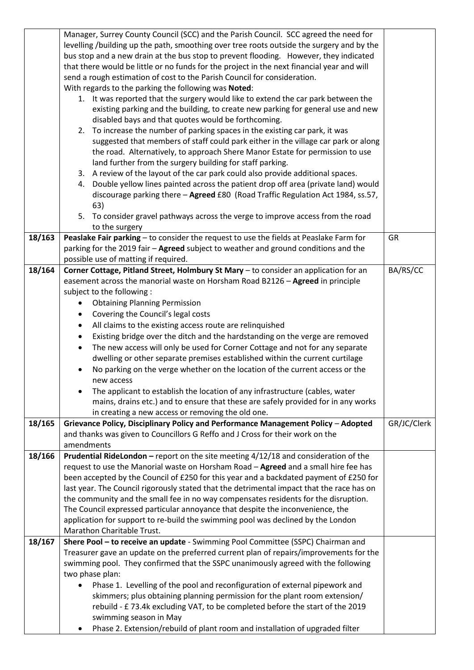|        | Manager, Surrey County Council (SCC) and the Parish Council. SCC agreed the need for       |             |  |  |  |
|--------|--------------------------------------------------------------------------------------------|-------------|--|--|--|
|        | levelling /building up the path, smoothing over tree roots outside the surgery and by the  |             |  |  |  |
|        | bus stop and a new drain at the bus stop to prevent flooding. However, they indicated      |             |  |  |  |
|        | that there would be little or no funds for the project in the next financial year and will |             |  |  |  |
|        |                                                                                            |             |  |  |  |
|        | send a rough estimation of cost to the Parish Council for consideration.                   |             |  |  |  |
|        | With regards to the parking the following was Noted:                                       |             |  |  |  |
|        | 1. It was reported that the surgery would like to extend the car park between the          |             |  |  |  |
|        | existing parking and the building, to create new parking for general use and new           |             |  |  |  |
|        | disabled bays and that quotes would be forthcoming.                                        |             |  |  |  |
|        | To increase the number of parking spaces in the existing car park, it was<br>2.            |             |  |  |  |
|        | suggested that members of staff could park either in the village car park or along         |             |  |  |  |
|        | the road. Alternatively, to approach Shere Manor Estate for permission to use              |             |  |  |  |
|        | land further from the surgery building for staff parking.                                  |             |  |  |  |
|        | 3. A review of the layout of the car park could also provide additional spaces.            |             |  |  |  |
|        | Double yellow lines painted across the patient drop off area (private land) would<br>4.    |             |  |  |  |
|        | discourage parking there - Agreed £80 (Road Traffic Regulation Act 1984, ss.57,            |             |  |  |  |
|        | 63)                                                                                        |             |  |  |  |
|        | 5. To consider gravel pathways across the verge to improve access from the road            |             |  |  |  |
|        | to the surgery                                                                             |             |  |  |  |
| 18/163 | Peaslake Fair parking - to consider the request to use the fields at Peaslake Farm for     | <b>GR</b>   |  |  |  |
|        | parking for the 2019 fair - Agreed subject to weather and ground conditions and the        |             |  |  |  |
|        | possible use of matting if required.                                                       |             |  |  |  |
| 18/164 | Corner Cottage, Pitland Street, Holmbury St Mary - to consider an application for an       | BA/RS/CC    |  |  |  |
|        | easement across the manorial waste on Horsham Road B2126 - Agreed in principle             |             |  |  |  |
|        | subject to the following :                                                                 |             |  |  |  |
|        | <b>Obtaining Planning Permission</b><br>$\bullet$                                          |             |  |  |  |
|        | Covering the Council's legal costs<br>٠                                                    |             |  |  |  |
|        | All claims to the existing access route are relinquished<br>٠                              |             |  |  |  |
|        |                                                                                            |             |  |  |  |
|        | Existing bridge over the ditch and the hardstanding on the verge are removed<br>$\bullet$  |             |  |  |  |
|        | The new access will only be used for Corner Cottage and not for any separate<br>$\bullet$  |             |  |  |  |
|        | dwelling or other separate premises established within the current curtilage               |             |  |  |  |
|        | No parking on the verge whether on the location of the current access or the<br>$\bullet$  |             |  |  |  |
|        | new access                                                                                 |             |  |  |  |
|        | The applicant to establish the location of any infrastructure (cables, water               |             |  |  |  |
|        | mains, drains etc.) and to ensure that these are safely provided for in any works          |             |  |  |  |
|        | in creating a new access or removing the old one.                                          |             |  |  |  |
| 18/165 | Grievance Policy, Disciplinary Policy and Performance Management Policy - Adopted          | GR/JC/Clerk |  |  |  |
|        | and thanks was given to Councillors G Reffo and J Cross for their work on the              |             |  |  |  |
|        | amendments                                                                                 |             |  |  |  |
| 18/166 | Prudential RideLondon - report on the site meeting 4/12/18 and consideration of the        |             |  |  |  |
|        | request to use the Manorial waste on Horsham Road - Agreed and a small hire fee has        |             |  |  |  |
|        | been accepted by the Council of £250 for this year and a backdated payment of £250 for     |             |  |  |  |
|        | last year. The Council rigorously stated that the detrimental impact that the race has on  |             |  |  |  |
|        | the community and the small fee in no way compensates residents for the disruption.        |             |  |  |  |
|        | The Council expressed particular annoyance that despite the inconvenience, the             |             |  |  |  |
|        | application for support to re-build the swimming pool was declined by the London           |             |  |  |  |
|        | Marathon Charitable Trust.                                                                 |             |  |  |  |
| 18/167 | Shere Pool - to receive an update - Swimming Pool Committee (SSPC) Chairman and            |             |  |  |  |
|        | Treasurer gave an update on the preferred current plan of repairs/improvements for the     |             |  |  |  |
|        | swimming pool. They confirmed that the SSPC unanimously agreed with the following          |             |  |  |  |
|        | two phase plan:                                                                            |             |  |  |  |
|        | Phase 1. Levelling of the pool and reconfiguration of external pipework and<br>$\bullet$   |             |  |  |  |
|        | skimmers; plus obtaining planning permission for the plant room extension/                 |             |  |  |  |
|        | rebuild - £73.4k excluding VAT, to be completed before the start of the 2019               |             |  |  |  |
|        | swimming season in May                                                                     |             |  |  |  |
|        | Phase 2. Extension/rebuild of plant room and installation of upgraded filter<br>$\bullet$  |             |  |  |  |
|        |                                                                                            |             |  |  |  |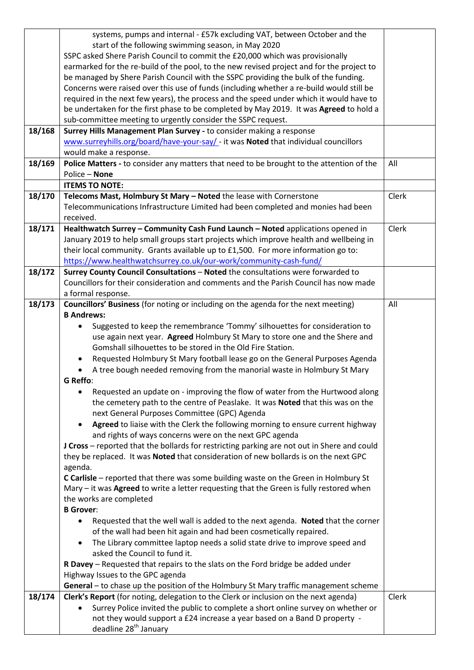|        | systems, pumps and internal - £57k excluding VAT, between October and the                                                                              |       |
|--------|--------------------------------------------------------------------------------------------------------------------------------------------------------|-------|
|        | start of the following swimming season, in May 2020                                                                                                    |       |
|        | SSPC asked Shere Parish Council to commit the £20,000 which was provisionally                                                                          |       |
|        | earmarked for the re-build of the pool, to the new revised project and for the project to                                                              |       |
|        | be managed by Shere Parish Council with the SSPC providing the bulk of the funding.                                                                    |       |
|        | Concerns were raised over this use of funds (including whether a re-build would still be                                                               |       |
|        | required in the next few years), the process and the speed under which it would have to                                                                |       |
|        | be undertaken for the first phase to be completed by May 2019. It was Agreed to hold a                                                                 |       |
|        | sub-committee meeting to urgently consider the SSPC request.                                                                                           |       |
| 18/168 | Surrey Hills Management Plan Survey - to consider making a response                                                                                    |       |
|        | www.surreyhills.org/board/have-your-say/ - it was Noted that individual councillors                                                                    |       |
|        | would make a response.                                                                                                                                 |       |
| 18/169 | Police Matters - to consider any matters that need to be brought to the attention of the                                                               | All   |
|        | Police - None                                                                                                                                          |       |
|        | <b>ITEMS TO NOTE:</b>                                                                                                                                  |       |
| 18/170 | Telecoms Mast, Holmbury St Mary - Noted the lease with Cornerstone                                                                                     | Clerk |
|        | Telecommunications Infrastructure Limited had been completed and monies had been                                                                       |       |
|        | received.                                                                                                                                              |       |
| 18/171 | Healthwatch Surrey - Community Cash Fund Launch - Noted applications opened in                                                                         | Clerk |
|        | January 2019 to help small groups start projects which improve health and wellbeing in                                                                 |       |
|        | their local community. Grants available up to £1,500. For more information go to:                                                                      |       |
|        | https://www.healthwatchsurrey.co.uk/our-work/community-cash-fund/                                                                                      |       |
| 18/172 | Surrey County Council Consultations - Noted the consultations were forwarded to                                                                        |       |
|        | Councillors for their consideration and comments and the Parish Council has now made                                                                   |       |
|        | a formal response.                                                                                                                                     |       |
| 18/173 | Councillors' Business (for noting or including on the agenda for the next meeting)                                                                     | All   |
|        | <b>B Andrews:</b>                                                                                                                                      |       |
|        | Suggested to keep the remembrance 'Tommy' silhouettes for consideration to<br>$\bullet$                                                                |       |
|        | use again next year. Agreed Holmbury St Mary to store one and the Shere and                                                                            |       |
|        | Gomshall silhouettes to be stored in the Old Fire Station.                                                                                             |       |
|        | Requested Holmbury St Mary football lease go on the General Purposes Agenda                                                                            |       |
|        | A tree bough needed removing from the manorial waste in Holmbury St Mary                                                                               |       |
|        | <b>G</b> Reffo:                                                                                                                                        |       |
|        | Requested an update on - improving the flow of water from the Hurtwood along<br>$\bullet$                                                              |       |
|        | the cemetery path to the centre of Peaslake. It was Noted that this was on the                                                                         |       |
|        | next General Purposes Committee (GPC) Agenda                                                                                                           |       |
|        | Agreed to liaise with the Clerk the following morning to ensure current highway<br>$\bullet$                                                           |       |
|        | and rights of ways concerns were on the next GPC agenda<br>J Cross - reported that the bollards for restricting parking are not out in Shere and could |       |
|        | they be replaced. It was Noted that consideration of new bollards is on the next GPC                                                                   |       |
|        | agenda.                                                                                                                                                |       |
|        | C Carlisle - reported that there was some building waste on the Green in Holmbury St                                                                   |       |
|        | Mary - it was Agreed to write a letter requesting that the Green is fully restored when                                                                |       |
|        | the works are completed                                                                                                                                |       |
|        | <b>B</b> Grover:                                                                                                                                       |       |
|        | Requested that the well wall is added to the next agenda. Noted that the corner<br>٠                                                                   |       |
|        | of the wall had been hit again and had been cosmetically repaired.                                                                                     |       |
|        | The Library committee laptop needs a solid state drive to improve speed and<br>$\bullet$                                                               |       |
|        | asked the Council to fund it.                                                                                                                          |       |
|        | R Davey - Requested that repairs to the slats on the Ford bridge be added under                                                                        |       |
|        | Highway Issues to the GPC agenda                                                                                                                       |       |
|        | General - to chase up the position of the Holmbury St Mary traffic management scheme                                                                   |       |
| 18/174 | Clerk's Report (for noting, delegation to the Clerk or inclusion on the next agenda)                                                                   | Clerk |
|        | Surrey Police invited the public to complete a short online survey on whether or<br>$\bullet$                                                          |       |
|        | not they would support a £24 increase a year based on a Band D property -                                                                              |       |
|        | deadline 28 <sup>th</sup> January                                                                                                                      |       |